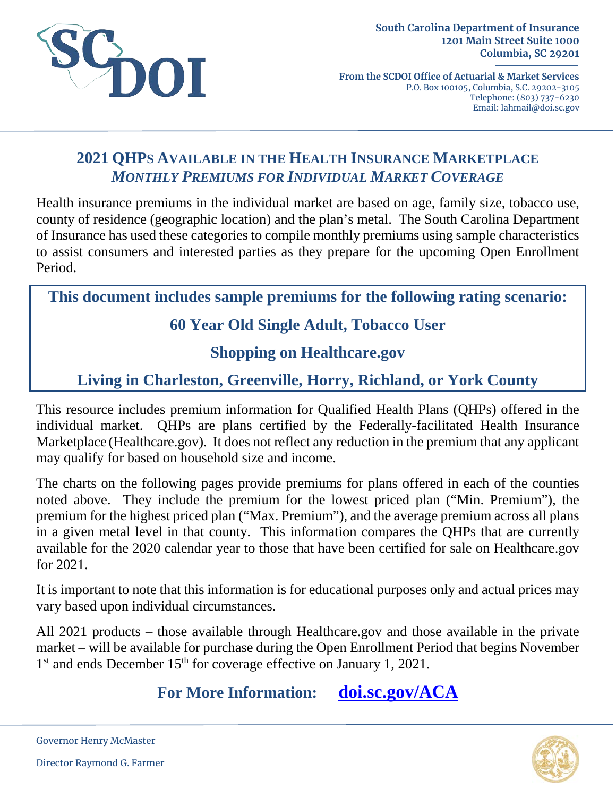

**From the SCDOI Office of Actuarial & Market Services** P.O. Box 100105, Columbia, S.C. 29202-3105 Telephone: (803) 737-6230 Email: lahmail@doi.sc.gov

#### **2021 QHPS AVAILABLE IN THE HEALTH INSURANCE MARKETPLACE** *MONTHLY PREMIUMS FOR INDIVIDUAL MARKET COVERAGE*

Health insurance premiums in the individual market are based on age, family size, tobacco use, county of residence (geographic location) and the plan's metal. The South Carolina Department of Insurance has used these categories to compile monthly premiums using sample characteristics to assist consumers and interested parties as they prepare for the upcoming Open Enrollment Period.

**This document includes sample premiums for the following rating scenario:**

# **60 Year Old Single Adult, Tobacco User**

#### **Shopping on Healthcare.gov**

# **Living in Charleston, Greenville, Horry, Richland, or York County**

This resource includes premium information for Qualified Health Plans (QHPs) offered in the individual market. QHPs are plans certified by the Federally-facilitated Health Insurance Marketplace (Healthcare.gov). It does not reflect any reduction in the premium that any applicant may qualify for based on household size and income.

The charts on the following pages provide premiums for plans offered in each of the counties noted above. They include the premium for the lowest priced plan ("Min. Premium"), the premium for the highest priced plan ("Max. Premium"), and the average premium across all plans in a given metal level in that county. This information compares the QHPs that are currently available for the 2020 calendar year to those that have been certified for sale on Healthcare.gov for 2021.

It is important to note that this information is for educational purposes only and actual prices may vary based upon individual circumstances.

All 2021 products – those available through Healthcare.gov and those available in the private market – will be available for purchase during the Open Enrollment Period that begins November 1<sup>st</sup> and ends December 15<sup>th</sup> for coverage effective on January 1, 2021.

**For More Information: [doi.sc.gov/ACA](http://doi.sc.gov/aca)**



Governor Henry McMaster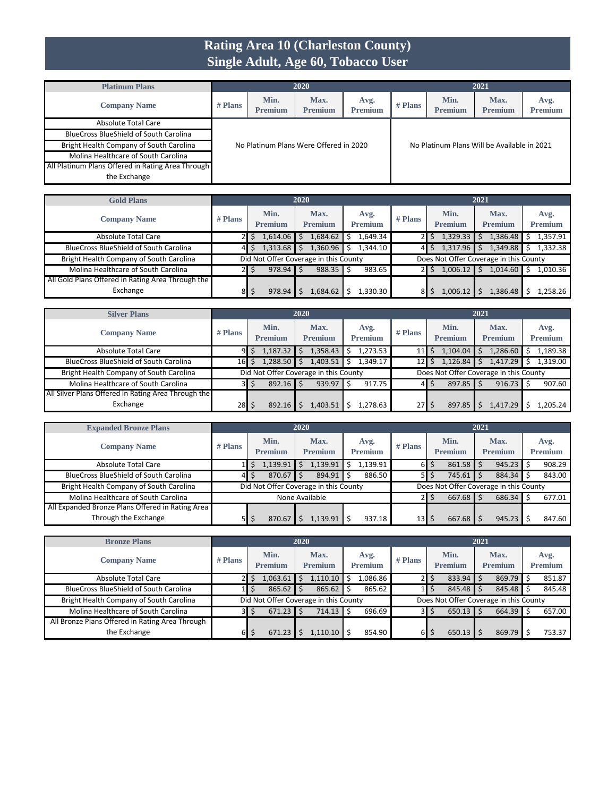### **Rating Area 10 (Charleston County) Single Adult, Age 60, Tobacco User**

| <b>Platinum Plans</b>                             |           |                        | 2020                                   |                        |           |                        | 2021                                        |                        |
|---------------------------------------------------|-----------|------------------------|----------------------------------------|------------------------|-----------|------------------------|---------------------------------------------|------------------------|
| <b>Company Name</b>                               | $#$ Plans | Min.<br><b>Premium</b> | Max.<br><b>Premium</b>                 | Avg.<br><b>Premium</b> | $#$ Plans | Min.<br><b>Premium</b> | Max.<br><b>Premium</b>                      | Avg.<br><b>Premium</b> |
| Absolute Total Care                               |           |                        |                                        |                        |           |                        |                                             |                        |
| <b>BlueCross BlueShield of South Carolina</b>     |           |                        |                                        |                        |           |                        |                                             |                        |
| Bright Health Company of South Carolina           |           |                        | No Platinum Plans Were Offered in 2020 |                        |           |                        | No Platinum Plans Will be Available in 2021 |                        |
| Molina Healthcare of South Carolina               |           |                        |                                        |                        |           |                        |                                             |                        |
| All Platinum Plans Offered in Rating Area Through |           |                        |                                        |                        |           |                        |                                             |                        |
| the Exchange                                      |           |                        |                                        |                        |           |                        |                                             |                        |

| <b>Gold Plans</b>                                 |           |                                       | 2020                   |                        |           |                        | 2021                                   |                        |
|---------------------------------------------------|-----------|---------------------------------------|------------------------|------------------------|-----------|------------------------|----------------------------------------|------------------------|
| <b>Company Name</b>                               | $#$ Plans | Min.<br><b>Premium</b>                | Max.<br><b>Premium</b> | Avg.<br><b>Premium</b> | $#$ Plans | Min.<br><b>Premium</b> | Max.<br><b>Premium</b>                 | Avg.<br><b>Premium</b> |
| Absolute Total Care                               |           | 1,614.06                              | .684.62                | 1.649.34               |           | 1,329.33<br>S          | 1,386.48                               | 1,357.91               |
| <b>BlueCross BlueShield of South Carolina</b>     |           | 1,313.68                              | 1,360.96               | 1.344.10               |           | 1,317.96<br>\$.        | 1,349.88                               | 1,332.38               |
| Bright Health Company of South Carolina           |           | Did Not Offer Coverage in this County |                        |                        |           |                        | Does Not Offer Coverage in this County |                        |
| Molina Healthcare of South Carolina               |           | 978.94                                | 988.35                 | 983.65                 |           | Ŝ.<br>1,006.12         | 1,014.60                               | 1,010.36               |
| All Gold Plans Offered in Rating Area Through the |           |                                       |                        |                        |           |                        |                                        |                        |
| Exchange                                          | 81        | 978.94                                | .684.62                | 1,330.30               |           | 1.006.1                | 1,386.48                               | L,258.26               |

| <b>Silver Plans</b>                                 |           |                        | 2020                                  |                        |                 |                        | 2021                                   |                        |
|-----------------------------------------------------|-----------|------------------------|---------------------------------------|------------------------|-----------------|------------------------|----------------------------------------|------------------------|
| <b>Company Name</b>                                 | $#$ Plans | Min.<br><b>Premium</b> | Max.<br><b>Premium</b>                | Avg.<br><b>Premium</b> | $#$ Plans       | Min.<br><b>Premium</b> | Max.<br><b>Premium</b>                 | Avg.<br><b>Premium</b> |
| <b>Absolute Total Care</b>                          | 91        | 1,187.32               | 1,358.43                              | 1,273.53<br>Ś          | 11              | 1,104.04<br>Ś.         | 1,286.60                               | 1,189.38               |
| <b>BlueCross BlueShield of South Carolina</b>       | 161       | 1,288.50               | 1,403.51                              | 1.349.17<br>\$         | 12 <sub>1</sub> | 1,126.84               | 1,417.29                               | 1.319.00               |
| Bright Health Company of South Carolina             |           |                        | Did Not Offer Coverage in this County |                        |                 |                        | Does Not Offer Coverage in this County |                        |
| Molina Healthcare of South Carolina                 | ЗΙ        | $892.16$ \$            | 939.97                                | 917.75<br>Ŝ            | 41              | $897.85$ \$<br>S       | $916.73$ \$                            | 907.60                 |
| All Silver Plans Offered in Rating Area Through the |           |                        |                                       |                        |                 |                        |                                        |                        |
| Exchange                                            | 28I       | 892.16                 | ,403.51                               | 1,278.63               | 27              | 897.85                 | 1,417.29                               | .205.24                |

| <b>Expanded Bronze Plans</b>                     |           |                        | 2020                                  |                        |           |                        | 2021                                   |                        |
|--------------------------------------------------|-----------|------------------------|---------------------------------------|------------------------|-----------|------------------------|----------------------------------------|------------------------|
| <b>Company Name</b>                              | $#$ Plans | Min.<br><b>Premium</b> | Max.<br><b>Premium</b>                | Avg.<br><b>Premium</b> | $#$ Plans | Min.<br><b>Premium</b> | Max.<br><b>Premium</b>                 | Avg.<br><b>Premium</b> |
| <b>Absolute Total Care</b>                       |           | 1,139.91               | 1,139.91                              | 1.139.91<br>Ś          |           | 861.58<br>6 S          | 945.23                                 | 908.29                 |
| <b>BlueCross BlueShield of South Carolina</b>    | 41        | $870.67$ \$            | 894.91                                | 886.50                 |           | 745.61<br>5 I S        | 884.34                                 | 843.00                 |
| <b>Bright Health Company of South Carolina</b>   |           |                        | Did Not Offer Coverage in this County |                        |           |                        | Does Not Offer Coverage in this County |                        |
| Molina Healthcare of South Carolina              |           |                        | None Available                        |                        |           | 667.68                 | 686.34                                 | 677.01                 |
| All Expanded Bronze Plans Offered in Rating Area |           |                        |                                       |                        |           |                        |                                        |                        |
| Through the Exchange                             | ЬΙ        | 870.67                 | 1.139.91                              | 937.18                 | 13        | 667.68                 | 945.23                                 | 847.60                 |

| <b>Bronze Plans</b>                             |           |                                       | 2020                   |                        |           |                             | 2021                                   |                        |
|-------------------------------------------------|-----------|---------------------------------------|------------------------|------------------------|-----------|-----------------------------|----------------------------------------|------------------------|
| <b>Company Name</b>                             | $#$ Plans | Min.<br><b>Premium</b>                | Max.<br><b>Premium</b> | Avg.<br><b>Premium</b> | $#$ Plans | Min.<br><b>Premium</b>      | Max.<br><b>Premium</b>                 | Avg.<br><b>Premium</b> |
| Absolute Total Care                             |           | 1,063.61                              | 1,110.10               | 1,086.86               |           | $833.94$ \$                 | $869.79$ \$                            | 851.87                 |
| <b>BlueCross BlueShield of South Carolina</b>   |           | 865.62                                | 865.62                 | 865.62<br>Ŝ            |           | $845.48$ \$                 | $845.48$ S                             | 845.48                 |
| Bright Health Company of South Carolina         |           | Did Not Offer Coverage in this County |                        |                        |           |                             | Does Not Offer Coverage in this County |                        |
| Molina Healthcare of South Carolina             | 31        | 671.23                                | 714.13                 | 696.69<br>Ŝ.           |           | $650.13$ \$                 | $664.39$ \$                            | 657.00                 |
| All Bronze Plans Offered in Rating Area Through |           |                                       |                        |                        |           |                             |                                        |                        |
| the Exchange                                    | 61        | 671.23                                | 1,110.10               | 854.90                 | 61        | $650.13$ $\frac{1}{5}$<br>Ś | 869.79                                 | 753.37                 |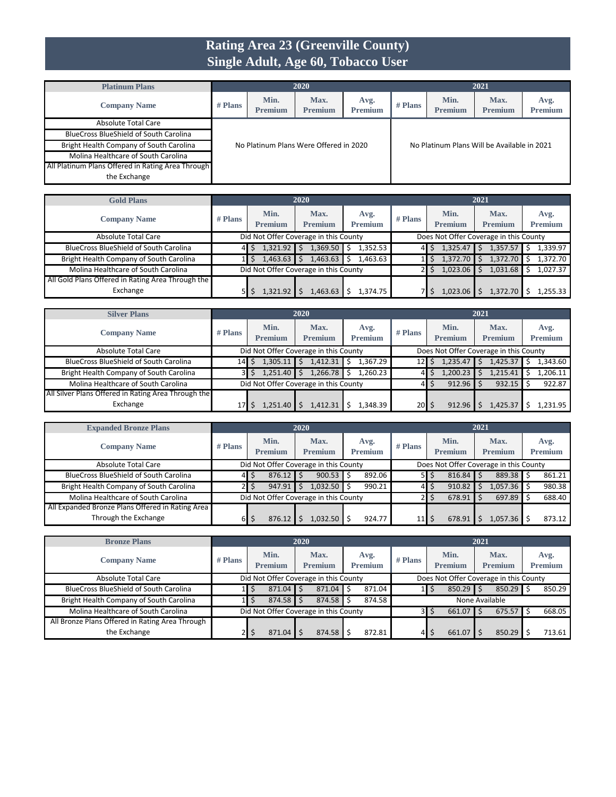### **Rating Area 23 (Greenville County) Single Adult, Age 60, Tobacco User**

| <b>Platinum Plans</b>                             |           |                                        | 2020                   |                        |           |                        | 2021                                        |                        |
|---------------------------------------------------|-----------|----------------------------------------|------------------------|------------------------|-----------|------------------------|---------------------------------------------|------------------------|
| <b>Company Name</b>                               | $#$ Plans | Min.<br><b>Premium</b>                 | Max.<br><b>Premium</b> | Avg.<br><b>Premium</b> | $#$ Plans | Min.<br><b>Premium</b> | Max.<br><b>Premium</b>                      | Avg.<br><b>Premium</b> |
| Absolute Total Care                               |           |                                        |                        |                        |           |                        |                                             |                        |
| <b>BlueCross BlueShield of South Carolina</b>     |           |                                        |                        |                        |           |                        |                                             |                        |
| Bright Health Company of South Carolina           |           | No Platinum Plans Were Offered in 2020 |                        |                        |           |                        | No Platinum Plans Will be Available in 2021 |                        |
| Molina Healthcare of South Carolina               |           |                                        |                        |                        |           |                        |                                             |                        |
| All Platinum Plans Offered in Rating Area Through |           |                                        |                        |                        |           |                        |                                             |                        |
| the Exchange                                      |           |                                        |                        |                        |           |                        |                                             |                        |

| <b>Gold Plans</b>                                 |         |                                       | 2020                   |                        |                                        |                        | 2021                   |                        |
|---------------------------------------------------|---------|---------------------------------------|------------------------|------------------------|----------------------------------------|------------------------|------------------------|------------------------|
| <b>Company Name</b>                               | # Plans | Min.<br><b>Premium</b>                | Max.<br><b>Premium</b> | Avg.<br><b>Premium</b> | $#$ Plans                              | Min.<br><b>Premium</b> | Max.<br><b>Premium</b> | Avg.<br><b>Premium</b> |
| Absolute Total Care                               |         | Did Not Offer Coverage in this County |                        |                        | Does Not Offer Coverage in this County |                        |                        |                        |
| <b>BlueCross BlueShield of South Carolina</b>     |         | 1,321.92                              | 1,369.50               | 1,352.53               |                                        | 1,325.47<br>S          | 1,357.57               | 1,339.97               |
| Bright Health Company of South Carolina           |         | 1,463.63                              | 1,463.63               | 1,463.63               |                                        | 1,372.70               | 1,372.70               | 1.372.70               |
| Molina Healthcare of South Carolina               |         | Did Not Offer Coverage in this County |                        |                        | 1,023.06<br>\$                         | 1,031.68               | 1.027.37               |                        |
| All Gold Plans Offered in Rating Area Through the |         |                                       |                        |                        |                                        |                        |                        |                        |
| Exchange                                          |         | 1,321.92                              | 1.463.63               | 1.374.75               |                                        | 1,023.06               | 1,372.70               | .255.33                |

| <b>Silver Plans</b>                                 |                 |                                       | 2020                   |                        |                                        |                        | 2021                   |                        |  |  |
|-----------------------------------------------------|-----------------|---------------------------------------|------------------------|------------------------|----------------------------------------|------------------------|------------------------|------------------------|--|--|
| <b>Company Name</b>                                 | $#$ Plans       | Min.<br><b>Premium</b>                | Max.<br><b>Premium</b> | Avg.<br><b>Premium</b> | $#$ Plans                              | Min.<br><b>Premium</b> | Max.<br><b>Premium</b> | Avg.<br><b>Premium</b> |  |  |
| Absolute Total Care                                 |                 | Did Not Offer Coverage in this County |                        |                        | Does Not Offer Coverage in this County |                        |                        |                        |  |  |
| <b>BlueCross BlueShield of South Carolina</b>       | 14              | 1,305.11                              | 1,412.31               | 1,367.29               | 12                                     | 1,235.47               | 1,425.37               | .343.60                |  |  |
| Bright Health Company of South Carolina             |                 | 1,251.40                              | 1,266.78               | 1.260.23<br>Ŝ          |                                        | 1,200.23               | 1,215.41               | .,206.11               |  |  |
| Molina Healthcare of South Carolina                 |                 | Did Not Offer Coverage in this County |                        |                        |                                        | $912.96$ S<br>S        | 932.15                 | 922.87                 |  |  |
| All Silver Plans Offered in Rating Area Through the |                 |                                       |                        |                        |                                        |                        |                        |                        |  |  |
| Exchange                                            | 17 <sup>1</sup> | 1,251.40                              | 1.412.31               | 1,348.39               | 20                                     | 912.96                 | 1,425.37               | 1.231.95               |  |  |

| <b>Expanded Bronze Plans</b>                     |           | 2020                                  |                                       |  |                        |  |                        |                                        |        |                        | 2021   |                        |        |                        |
|--------------------------------------------------|-----------|---------------------------------------|---------------------------------------|--|------------------------|--|------------------------|----------------------------------------|--------|------------------------|--------|------------------------|--------|------------------------|
| <b>Company Name</b>                              | $#$ Plans |                                       | Min.<br><b>Premium</b>                |  | Max.<br><b>Premium</b> |  | Avg.<br><b>Premium</b> | $#$ Plans                              |        | Min.<br><b>Premium</b> |        | Max.<br><b>Premium</b> |        | Avg.<br><b>Premium</b> |
| <b>Absolute Total Care</b>                       |           |                                       | Did Not Offer Coverage in this County |  |                        |  |                        | Does Not Offer Coverage in this County |        |                        |        |                        |        |                        |
| <b>BlueCross BlueShield of South Carolina</b>    | 41        |                                       | $876.12$ \$                           |  | 900.53                 |  | 892.06                 |                                        | 5 I S  | 816.84                 |        | 889.38                 |        | 861.21                 |
| Bright Health Company of South Carolina          |           |                                       | 947.91                                |  | 1,032.50               |  | 990.21                 |                                        | 4   \$ | 910.82                 |        | 1,057.36 S             |        | 980.38                 |
| Molina Healthcare of South Carolina              |           | Did Not Offer Coverage in this County |                                       |  |                        |  |                        |                                        | 678.91 |                        | 697.89 |                        | 688.40 |                        |
| All Expanded Bronze Plans Offered in Rating Area |           |                                       |                                       |  |                        |  |                        |                                        |        |                        |        |                        |        |                        |
| Through the Exchange                             | 61        |                                       | 876.12                                |  | 032.50                 |  | 924.77                 | $11 \mid \zeta$                        |        | 678.91                 |        | 1.057.36               |        | 873.12                 |

| <b>Bronze Plans</b>                             |           |                                                                                 |  | 2020                                  |                        |        |                                 |                        | 2021                   |  |                        |
|-------------------------------------------------|-----------|---------------------------------------------------------------------------------|--|---------------------------------------|------------------------|--------|---------------------------------|------------------------|------------------------|--|------------------------|
| <b>Company Name</b>                             | $#$ Plans | Min.<br><b>Premium</b>                                                          |  | Max.<br><b>Premium</b>                | Avg.<br><b>Premium</b> |        | $#$ Plans                       | Min.<br><b>Premium</b> | Max.<br><b>Premium</b> |  | Avg.<br><b>Premium</b> |
| <b>Absolute Total Care</b>                      |           | Did Not Offer Coverage in this County<br>Does Not Offer Coverage in this County |  |                                       |                        |        |                                 |                        |                        |  |                        |
| <b>BlueCross BlueShield of South Carolina</b>   |           | $871.04$ \$                                                                     |  | 871.04                                |                        | 871.04 |                                 | 850.29                 | $850.29$ \$            |  | 850.29                 |
| Bright Health Company of South Carolina         |           | $874.58$ \$                                                                     |  | 874.58                                |                        | 874.58 |                                 |                        | None Available         |  |                        |
| Molina Healthcare of South Carolina             |           |                                                                                 |  | Did Not Offer Coverage in this County |                        |        | $675.57$ S<br>661.07<br>31<br>S |                        |                        |  | 668.05                 |
| All Bronze Plans Offered in Rating Area Through |           |                                                                                 |  |                                       |                        |        |                                 |                        |                        |  |                        |
| the Exchange                                    | 21        | 871.04                                                                          |  | 874.58                                |                        | 872.81 | 4                               | Ś<br>661.07            | 850.29                 |  | 713.61                 |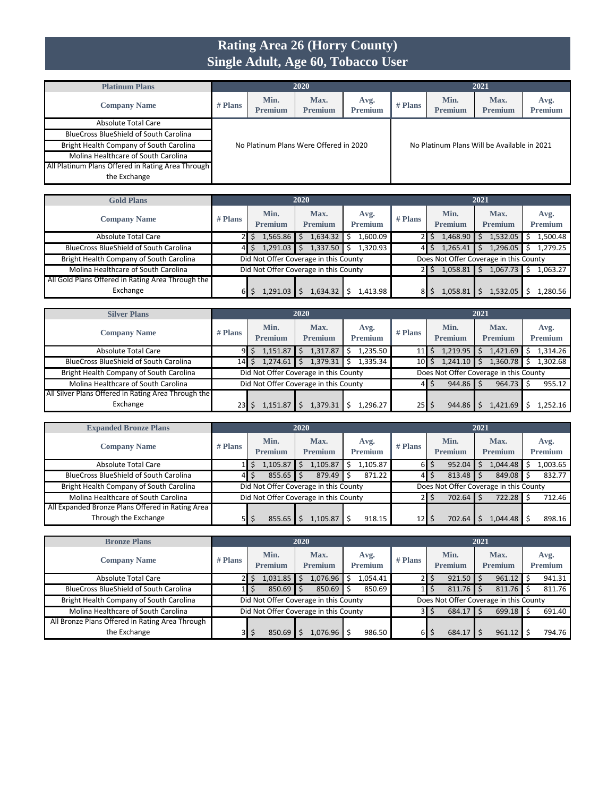#### **Rating Area 26 (Horry County) Single Adult, Age 60, Tobacco User**

| <b>Platinum Plans</b>                             |           |                        | 2020                                   |                        |           |                        | 2021                                        |                        |
|---------------------------------------------------|-----------|------------------------|----------------------------------------|------------------------|-----------|------------------------|---------------------------------------------|------------------------|
| <b>Company Name</b>                               | $#$ Plans | Min.<br><b>Premium</b> | Max.<br><b>Premium</b>                 | Avg.<br><b>Premium</b> | $#$ Plans | Min.<br><b>Premium</b> | Max.<br><b>Premium</b>                      | Avg.<br><b>Premium</b> |
| Absolute Total Care                               |           |                        |                                        |                        |           |                        |                                             |                        |
| <b>BlueCross BlueShield of South Carolina</b>     |           |                        |                                        |                        |           |                        |                                             |                        |
| Bright Health Company of South Carolina           |           |                        | No Platinum Plans Were Offered in 2020 |                        |           |                        | No Platinum Plans Will be Available in 2021 |                        |
| Molina Healthcare of South Carolina               |           |                        |                                        |                        |           |                        |                                             |                        |
| All Platinum Plans Offered in Rating Area Through |           |                        |                                        |                        |           |                        |                                             |                        |
| the Exchange                                      |           |                        |                                        |                        |           |                        |                                             |                        |

| <b>Gold Plans</b>                                 |         |                        | 2020                                  |                        |           |                        | 2021                                   |                        |
|---------------------------------------------------|---------|------------------------|---------------------------------------|------------------------|-----------|------------------------|----------------------------------------|------------------------|
| <b>Company Name</b>                               | # Plans | Min.<br><b>Premium</b> | Max.<br><b>Premium</b>                | Avg.<br><b>Premium</b> | $#$ Plans | Min.<br><b>Premium</b> | Max.<br><b>Premium</b>                 | Avg.<br><b>Premium</b> |
| Absolute Total Care                               |         | 1.565.86               | .634.32                               | 1.600.09               |           | 1,468.90<br>S          | 1,532.05                               | 1.500.48               |
| <b>BlueCross BlueShield of South Carolina</b>     |         | 1,291.03               | 1,337.50                              | 1.320.93               | 41        | 1,265.41<br>\$.        | 1,296.05                               | 1,279.25               |
| Bright Health Company of South Carolina           |         |                        | Did Not Offer Coverage in this County |                        |           |                        | Does Not Offer Coverage in this County |                        |
| Molina Healthcare of South Carolina               |         |                        | Did Not Offer Coverage in this County |                        |           | 1,058.81               | 1,067.73                               | 1,063.27               |
| All Gold Plans Offered in Rating Area Through the |         |                        |                                       |                        |           |                        |                                        |                        |
| Exchange                                          |         | 1,291.03               | .634.32                               | 1.413.98               |           | 1,058.8                | 1,532.05                               | L.280.56               |

| <b>Silver Plans</b>                                 |           |                                       | 2020                   |                        |                 |                           | 2021                                   |                        |
|-----------------------------------------------------|-----------|---------------------------------------|------------------------|------------------------|-----------------|---------------------------|----------------------------------------|------------------------|
| <b>Company Name</b>                                 | $#$ Plans | Min.<br><b>Premium</b>                | Max.<br><b>Premium</b> | Avg.<br><b>Premium</b> | $#$ Plans       | Min.<br><b>Premium</b>    | Max.<br><b>Premium</b>                 | Avg.<br><b>Premium</b> |
| <b>Absolute Total Care</b>                          | 91        | 1,151.87                              | 1,317.87               | 1,235.50               | 11 <sup>1</sup> | 1,219.95<br>\$            | 1,421.69                               | 1,314.26               |
| BlueCross BlueShield of South Carolina              | 14        | 1,274.61                              | 1,379.31               | 1,335.34               |                 | 1,241.10<br>$10$ $\mid$ S | 1,360.78                               | 1,302.68               |
| Bright Health Company of South Carolina             |           | Did Not Offer Coverage in this County |                        |                        |                 |                           | Does Not Offer Coverage in this County |                        |
| Molina Healthcare of South Carolina                 |           | Did Not Offer Coverage in this County |                        |                        |                 | 944.86<br>4 S             | 964.73                                 | 955.12                 |
| All Silver Plans Offered in Rating Area Through the |           |                                       |                        |                        |                 |                           |                                        |                        |
| Exchange                                            | 23        | 1,151.87                              | 1,379.31               | 1,296.27               | $25$   \$       | 944.86                    | 1,421.69                               | 1.252.16               |

| <b>Expanded Bronze Plans</b>                     | 2020      |                                       |                        |                        |                 |                 | 2021                                   |                        |
|--------------------------------------------------|-----------|---------------------------------------|------------------------|------------------------|-----------------|-----------------|----------------------------------------|------------------------|
| <b>Company Name</b>                              | $#$ Plans | Min.<br><b>Premium</b>                | Max.<br><b>Premium</b> | Avg.<br><b>Premium</b> | $#$ Plans       | Min.<br>Premium | Max.<br><b>Premium</b>                 | Avg.<br><b>Premium</b> |
| <b>Absolute Total Care</b>                       |           | 1,105.87                              | .,105.87               | 1.105.87<br>Ś          | 61              | 952.04<br>Ś     | 1,044.48                               | .003.65                |
| <b>BlueCross BlueShield of South Carolina</b>    | 41        | $855.65$ \$                           | 879.49                 | 871.22                 | 4               | 813.48<br>\$    | $849.08$ \$                            | 832.77                 |
| Bright Health Company of South Carolina          |           | Did Not Offer Coverage in this County |                        |                        |                 |                 | Does Not Offer Coverage in this County |                        |
| Molina Healthcare of South Carolina              |           | Did Not Offer Coverage in this County |                        |                        |                 | 702.64          | 722.28                                 | 712.46                 |
| All Expanded Bronze Plans Offered in Rating Area |           |                                       |                        |                        |                 |                 |                                        |                        |
| Through the Exchange                             | ЬΙ        | 855.65                                | .105.87                | 918.15                 | 12 <sub>l</sub> | 702.64          | 1.044.48                               | 898.16                 |

| <b>Bronze Plans</b>                             | 2020    |                        |                                       |                        |               |                          | 2021                                   |                        |
|-------------------------------------------------|---------|------------------------|---------------------------------------|------------------------|---------------|--------------------------|----------------------------------------|------------------------|
| <b>Company Name</b>                             | # Plans | Min.<br><b>Premium</b> | Max.<br><b>Premium</b>                | Avg.<br><b>Premium</b> | $#$ Plans     | Min.<br><b>Premium</b>   | Max.<br><b>Premium</b>                 | Avg.<br><b>Premium</b> |
| Absolute Total Care                             |         | 1,031.85               | .076.96                               | 1.054.41               | 21            | 921.50                   | 961.12                                 | 941.31                 |
| <b>BlueCross BlueShield of South Carolina</b>   |         | 850.69                 | 850.69                                | 850.69                 | $1\mathsf{I}$ | 811.76<br>Ŝ              | $811.76$ S                             | 811.76                 |
| Bright Health Company of South Carolina         |         |                        | Did Not Offer Coverage in this County |                        |               |                          | Does Not Offer Coverage in this County |                        |
| Molina Healthcare of South Carolina             |         |                        | Did Not Offer Coverage in this County |                        | 3I            | 684.17                   | 699.18                                 | 691.40                 |
| All Bronze Plans Offered in Rating Area Through |         |                        |                                       |                        |               |                          |                                        |                        |
| the Exchange                                    | зΙ      | 850.69                 | .076.96                               | 986.50                 | 61            | 684.17<br>$\overline{z}$ | 961.12                                 | 794.76                 |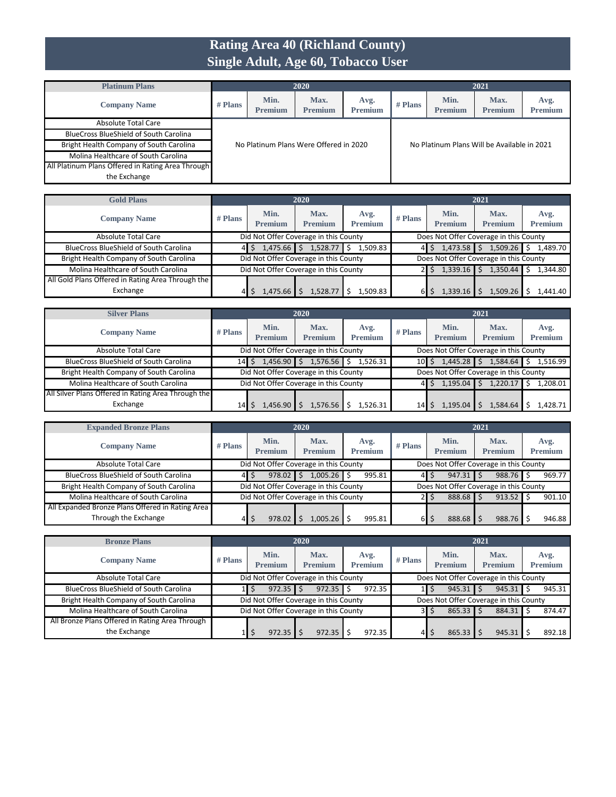# **Rating Area 40 (Richland County) Single Adult, Age 60, Tobacco User**

| <b>Platinum Plans</b>                             |           | 2020                                   |                        |                        |           | 2021                                        |                        |                        |  |
|---------------------------------------------------|-----------|----------------------------------------|------------------------|------------------------|-----------|---------------------------------------------|------------------------|------------------------|--|
| <b>Company Name</b>                               | $#$ Plans | Min.<br><b>Premium</b>                 | Max.<br><b>Premium</b> | Avg.<br><b>Premium</b> | $#$ Plans | Min.<br><b>Premium</b>                      | Max.<br><b>Premium</b> | Avg.<br><b>Premium</b> |  |
| Absolute Total Care                               |           |                                        |                        |                        |           |                                             |                        |                        |  |
| <b>BlueCross BlueShield of South Carolina</b>     |           |                                        |                        |                        |           |                                             |                        |                        |  |
| Bright Health Company of South Carolina           |           | No Platinum Plans Were Offered in 2020 |                        |                        |           | No Platinum Plans Will be Available in 2021 |                        |                        |  |
| Molina Healthcare of South Carolina               |           |                                        |                        |                        |           |                                             |                        |                        |  |
| All Platinum Plans Offered in Rating Area Through |           |                                        |                        |                        |           |                                             |                        |                        |  |
| the Exchange                                      |           |                                        |                        |                        |           |                                             |                        |                        |  |

| <b>Gold Plans</b>                                 |           |                                       | 2020                   |                        |           |                        | 2021                                   |                        |
|---------------------------------------------------|-----------|---------------------------------------|------------------------|------------------------|-----------|------------------------|----------------------------------------|------------------------|
| <b>Company Name</b>                               | $#$ Plans | Min.<br><b>Premium</b>                | Max.<br><b>Premium</b> | Avg.<br><b>Premium</b> | $#$ Plans | Min.<br><b>Premium</b> | Max.<br><b>Premium</b>                 | Avg.<br><b>Premium</b> |
| Absolute Total Care                               |           | Did Not Offer Coverage in this County |                        |                        |           |                        | Does Not Offer Coverage in this County |                        |
| <b>BlueCross BlueShield of South Carolina</b>     | 41        | $1,475.66$ \$                         | 1,528.77               | 1,509.83<br>\$.        |           | 1,473.58               | 1,509.26                               | 1,489.70               |
| Bright Health Company of South Carolina           |           | Did Not Offer Coverage in this County |                        |                        |           |                        | Does Not Offer Coverage in this County |                        |
| Molina Healthcare of South Carolina               |           | Did Not Offer Coverage in this County |                        |                        |           | 1,339.16               | 1,350.44                               | .344.80                |
| All Gold Plans Offered in Rating Area Through the |           |                                       |                        |                        |           |                        |                                        |                        |
| Exchange                                          |           | 1,475.66                              | 1.528.77               | L.509.83               |           | 1.339.16               | 1,509.26                               | .441.40                |

| <b>Silver Plans</b>                                 | 2020            |                                       |                        |                        |           | 2021                                   |                        |                        |  |
|-----------------------------------------------------|-----------------|---------------------------------------|------------------------|------------------------|-----------|----------------------------------------|------------------------|------------------------|--|
| <b>Company Name</b>                                 | $#$ Plans       | Min.<br><b>Premium</b>                | Max.<br><b>Premium</b> | Avg.<br><b>Premium</b> | $#$ Plans | Min.<br><b>Premium</b>                 | Max.<br><b>Premium</b> | Avg.<br><b>Premium</b> |  |
| <b>Absolute Total Care</b>                          |                 | Did Not Offer Coverage in this County |                        |                        |           | Does Not Offer Coverage in this County |                        |                        |  |
| <b>BlueCross BlueShield of South Carolina</b>       | 14              | $1,456.90$ \$                         | 1,576.56               | Ś.<br>1,526.31         | 10I       | $1,445.28$ \$                          | $1,584.64$ \$          | 1.516.99               |  |
| Bright Health Company of South Carolina             |                 | Did Not Offer Coverage in this County |                        |                        |           | Does Not Offer Coverage in this County |                        |                        |  |
| Molina Healthcare of South Carolina                 |                 | Did Not Offer Coverage in this County |                        |                        |           | 1,195.04                               | 1,220.17               | L,208.01               |  |
| All Silver Plans Offered in Rating Area Through the |                 |                                       |                        |                        |           |                                        |                        |                        |  |
| Exchange                                            | 14 <sup>F</sup> | L.456.90                              | 1.576.56               | 1.526.31               | 14        | 1,195.04                               | 1,584.64               | 1.428.71               |  |

| <b>Expanded Bronze Plans</b>                                             | 2020    |                                       |                        |                        |           |                 | 2021                                   |                        |
|--------------------------------------------------------------------------|---------|---------------------------------------|------------------------|------------------------|-----------|-----------------|----------------------------------------|------------------------|
| <b>Company Name</b>                                                      | # Plans | Min.<br><b>Premium</b>                | Max.<br><b>Premium</b> | Avg.<br><b>Premium</b> | $#$ Plans | Min.<br>Premium | Max.<br><b>Premium</b>                 | Avg.<br><b>Premium</b> |
| Absolute Total Care                                                      |         | Did Not Offer Coverage in this County |                        |                        |           |                 | Does Not Offer Coverage in this County |                        |
| <b>BlueCross BlueShield of South Carolina</b>                            |         | 978.02                                | 1,005.26               | 995.81                 | 41        | 947.31          | $988.76$ \$                            | 969.77                 |
| Bright Health Company of South Carolina                                  |         | Did Not Offer Coverage in this County |                        |                        |           |                 | Does Not Offer Coverage in this County |                        |
| Molina Healthcare of South Carolina                                      |         | Did Not Offer Coverage in this County |                        |                        |           | 888.68<br>S     | $913.52$ \$                            | 901.10                 |
| All Expanded Bronze Plans Offered in Rating Area<br>Through the Exchange | 41      | 978.02                                | .005.26                | 995.81                 | 61        | 888.68          | 988.76                                 | 946.88                 |

| <b>Bronze Plans</b>                             | 2020      |                                       |                        |                        |           |                                        | 2021                   |                        |
|-------------------------------------------------|-----------|---------------------------------------|------------------------|------------------------|-----------|----------------------------------------|------------------------|------------------------|
| <b>Company Name</b>                             | $#$ Plans | Min.<br><b>Premium</b>                | Max.<br><b>Premium</b> | Avg.<br><b>Premium</b> | $#$ Plans | Min.<br><b>Premium</b>                 | Max.<br><b>Premium</b> | Avg.<br><b>Premium</b> |
| Absolute Total Care                             |           | Did Not Offer Coverage in this County |                        |                        |           | Does Not Offer Coverage in this County |                        |                        |
| <b>BlueCross BlueShield of South Carolina</b>   |           | 972.35                                | 972.35                 | 972.35                 |           | 945.31<br>Ş                            | $945.31$ \$            | 945.31                 |
| Bright Health Company of South Carolina         |           | Did Not Offer Coverage in this County |                        |                        |           | Does Not Offer Coverage in this County |                        |                        |
| Molina Healthcare of South Carolina             |           | Did Not Offer Coverage in this County |                        |                        | 31        | 865.33<br>S                            | 884.31                 | 874.47                 |
| All Bronze Plans Offered in Rating Area Through |           |                                       |                        |                        |           |                                        |                        |                        |
| the Exchange                                    |           | 972.35                                | 972.35                 | 972.35                 | 41        | 865.33<br>э                            | 945.31                 | 892.18                 |